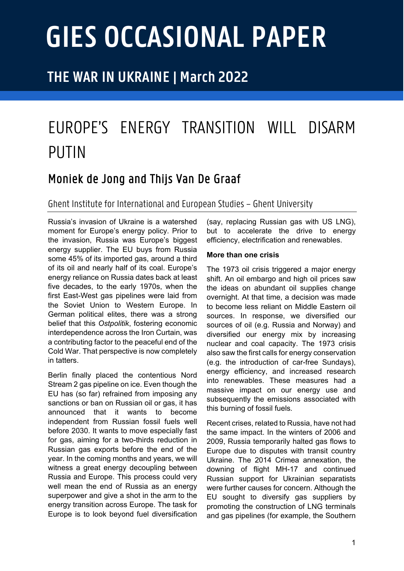# **GIES OCCASIONAL PAPER**

## **THE WAR IN UKRAINE | March 2022**

## EUROPE'S ENERGY TRANSITION WILL DISARM PUTIN

## Moniek de Jong and Thijs Van De Graaf

Ghent Institute for Internationaland European Studies – Ghent University

Russia's invasion of Ukraine is a watershed moment for Europe's energy policy. Prior to the invasion, Russia was Europe's biggest energy supplier. The EU buys from Russia some 45% of its imported gas, around a third of its oil and nearly half of its coal. Europe's energy reliance on Russia dates back at least five decades, to the early 1970s, when the first East-West gas pipelines were laid from the Soviet Union to Western Europe. In German political elites, there was a strong belief that this *Ostpolitik*, fostering economic interdependence across the Iron Curtain, was a contributing factor to the peaceful end of the Cold War. That perspective is now completely in tatters.

Berlin finally placed the contentious Nord Stream 2 gas pipeline on ice. Even though the EU has (so far) refrained from imposing any sanctions or ban on Russian oil or gas, it has announced that it wants to become independent from Russian fossil fuels well before 2030. It wants to move especially fast for gas, aiming for a two-thirds reduction in Russian gas exports before the end of the year. In the coming months and years, we will witness a great energy decoupling between Russia and Europe. This process could very well mean the end of Russia as an energy superpower and give a shot in the arm to the energy transition across Europe. The task for Europe is to look beyond fuel diversification

(say, replacing Russian gas with US LNG), but to accelerate the drive to energy efficiency, electrification and renewables.

### **More than one crisis**

The 1973 oil crisis triggered a major energy shift. An oil embargo and high oil prices saw the ideas on abundant oil supplies change overnight. At that time, a decision was made to become less reliant on Middle Eastern oil sources. In response, we diversified our sources of oil (e.g. Russia and Norway) and diversified our energy mix by increasing nuclear and coal capacity. The 1973 crisis also saw the first calls for energy conservation (e.g. the introduction of car-free Sundays), energy efficiency, and increased research into renewables. These measures had a massive impact on our energy use and subsequently the emissions associated with this burning of fossil fuels*.* 

Recent crises, related to Russia, have not had the same impact. In the winters of 2006 and 2009, Russia temporarily halted gas flows to Europe due to disputes with transit country Ukraine. The 2014 Crimea annexation, the downing of flight MH-17 and continued Russian support for Ukrainian separatists were further causes for concern. Although the EU sought to diversify gas suppliers by promoting the construction of LNG terminals and gas pipelines (for example, the Southern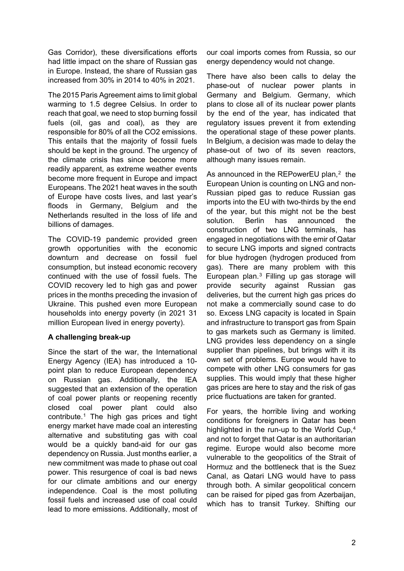Gas Corridor), these diversifications efforts had little impact on the share of Russian gas in Europe. Instead, the share of Russian gas increased from 30% in 2014 to 40% in 2021.

The 2015 Paris Agreement aims to limit global warming to 1.5 degree Celsius. In order to reach that goal, we need to stop burning fossil fuels (oil, gas and coal), as they are responsible for 80% of all the CO2 emissions. This entails that the majority of fossil fuels should be kept in the ground. The urgency of the climate crisis has since become more readily apparent, as extreme weather events become more frequent in Europe and impact Europeans. The 2021 heat waves in the south of Europe have costs lives, and last year's floods in Germany, Belgium and the Netherlands resulted in the loss of life and billions of damages.

The COVID-19 pandemic provided green growth opportunities with the economic downturn and decrease on fossil fuel consumption, but instead economic recovery continued with the use of fossil fuels. The COVID recovery led to high gas and power prices in the months preceding the invasion of Ukraine. This pushed even more European households into energy poverty (in 2021 31 million European lived in energy poverty).

### **A challenging break-up**

Since the start of the war, the International Energy Agency (IEA) has introduced a 10 point plan to reduce European dependency on Russian gas. Additionally, the IEA suggested that an extension of the operation of coal power plants or reopening recently closed coal power plant could also contribute.[1](#page-3-0) The high gas prices and tight energy market have made coal an interesting alternative and substituting gas with coal would be a quickly band-aid for our gas dependency on Russia. Just months earlier, a new commitment was made to phase out coal power. This resurgence of coal is bad news for our climate ambitions and our energy independence. Coal is the most polluting fossil fuels and increased use of coal could lead to more emissions. Additionally, most of our coal imports comes from Russia, so our energy dependency would not change.

There have also been calls to delay the phase-out of nuclear power plants in Germany and Belgium. Germany, which plans to close all of its nuclear power plants by the end of the year, has indicated that regulatory issues prevent it from extending the operational stage of these power plants. In Belgium, a decision was made to delay the phase-out of two of its seven reactors, although many issues remain.

As announced in the REPowerEU plan,<sup>[2](#page-3-1)</sup> the European Union is counting on LNG and non-Russian piped gas to reduce Russian gas imports into the EU with two-thirds by the end of the year, but this might not be the best solution. Berlin has announced the construction of two LNG terminals, has engaged in negotiations with the emir of Qatar to secure LNG imports and signed contracts for blue hydrogen (hydrogen produced from gas). There are many problem with this European plan.[3](#page-3-2) Filling up gas storage will provide security against Russian gas deliveries, but the current high gas prices do not make a commercially sound case to do so. Excess LNG capacity is located in Spain and infrastructure to transport gas from Spain to gas markets such as Germany is limited. LNG provides less dependency on a single supplier than pipelines, but brings with it its own set of problems. Europe would have to compete with other LNG consumers for gas supplies. This would imply that these higher gas prices are here to stay and the risk of gas price fluctuations are taken for granted.

For years, the horrible living and working conditions for foreigners in Qatar has been highlighted in the run-up to the World Cup.<sup>[4](#page-3-3)</sup> and not to forget that Qatar is an authoritarian regime. Europe would also become more vulnerable to the geopolitics of the Strait of Hormuz and the bottleneck that is the Suez Canal, as Qatari LNG would have to pass through both. A similar geopolitical concern can be raised for piped gas from Azerbaijan, which has to transit Turkey. Shifting our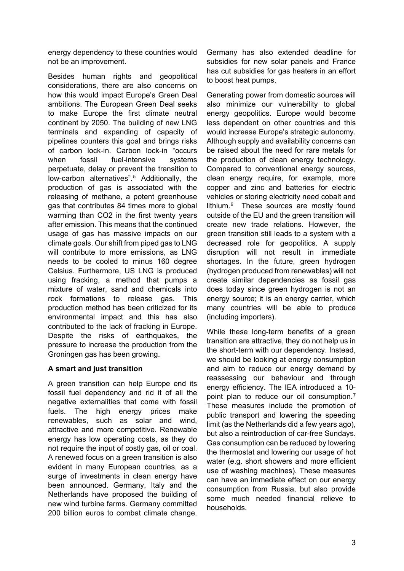energy dependency to these countries would not be an improvement.

Besides human rights and geopolitical considerations, there are also concerns on how this would impact Europe's Green Deal ambitions. The European Green Deal seeks to make Europe the first climate neutral continent by 2050. The building of new LNG terminals and expanding of capacity of pipelines counters this goal and brings risks of carbon lock-in. Carbon lock-in "occurs when fossil fuel-intensive systems perpetuate, delay or prevent the transition to low-carbon alternatives".[5](#page-3-4) Additionally, the production of gas is associated with the releasing of methane, a potent greenhouse gas that contributes 84 times more to global warming than CO2 in the first twenty years after emission. This means that the continued usage of gas has massive impacts on our climate goals. Our shift from piped gas to LNG will contribute to more emissions, as LNG needs to be cooled to minus 160 degree Celsius. Furthermore, US LNG is produced using fracking, a method that pumps a mixture of water, sand and chemicals into rock formations to release gas. This production method has been criticized for its environmental impact and this has also contributed to the lack of fracking in Europe. Despite the risks of earthquakes, the pressure to increase the production from the Groningen gas has been growing.

### **A smart and just transition**

A green transition can help Europe end its fossil fuel dependency and rid it of all the negative externalities that come with fossil fuels. The high energy prices make renewables, such as solar and wind, attractive and more competitive. Renewable energy has low operating costs, as they do not require the input of costly gas, oil or coal. A renewed focus on a green transition is also evident in many European countries, as a surge of investments in clean energy have been announced. Germany, Italy and the Netherlands have proposed the building of new wind turbine farms. Germany committed 200 billion euros to combat climate change.

Germany has also extended deadline for subsidies for new solar panels and France has cut subsidies for gas heaters in an effort to boost heat pumps.

Generating power from domestic sources will also minimize our vulnerability to global energy geopolitics. Europe would become less dependent on other countries and this would increase Europe's strategic autonomy. Although supply and availability concerns can be raised about the need for rare metals for the production of clean energy technology. Compared to conventional energy sources, clean energy require, for example, more copper and zinc and batteries for electric vehicles or storing electricity need cobalt and lithium.[6](#page-3-5) These sources are mostly found outside of the EU and the green transition will create new trade relations. However, the green transition still leads to a system with a decreased role for geopolitics. A supply disruption will not result in immediate shortages. In the future, green hydrogen (hydrogen produced from renewables) will not create similar dependencies as fossil gas does today since green hydrogen is not an energy source; it is an energy carrier, which many countries will be able to produce (including importers).

While these long-term benefits of a green transition are attractive, they do not help us in the short-term with our dependency. Instead, we should be looking at energy consumption and aim to reduce our energy demand by reassessing our behaviour and through energy efficiency. The IEA introduced a 10- point plan to reduce our oil consumption.<sup>[7](#page-3-6)</sup> These measures include the promotion of public transport and lowering the speeding limit (as the Netherlands did a few years ago), but also a reintroduction of car-free Sundays. Gas consumption can be reduced by lowering the thermostat and lowering our usage of hot water (e.g. short showers and more efficient use of washing machines). These measures can have an immediate effect on our energy consumption from Russia, but also provide some much needed financial relieve to households.